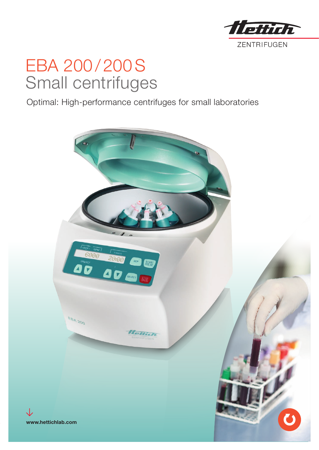

## EBA 200 / 200S Small centrifuges

Optimal: High-performance centrifuges for small laboratories

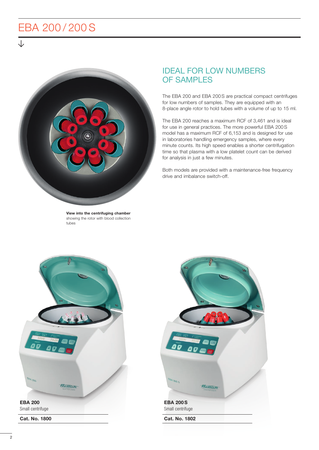## EBA 200 / 200 S



View into the centrifuging chamber showing the rotor with blood collection tubes

## IDEAL FOR LOW NUMBERS OF SAMPLES

The EBA 200 and EBA 200S are practical compact centrifuges for low numbers of samples. They are equipped with an 8-place angle rotor to hold tubes with a volume of up to 15 ml.

The EBA 200 reaches a maximum RCF of 3,461 and is ideal for use in general practices. The more powerful EBA 200S model has a maximum RCF of 6,153 and is designed for use in laboratories handling emergency samples, where every minute counts. Its high speed enables a shorter centrifugation time so that plasma with a low platelet count can be derived for analysis in just a few minutes.

Both models are provided with a maintenance-free frequency drive and imbalance switch-off.



Cat. No. 1800

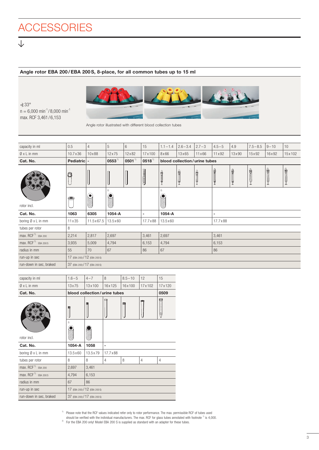## Angle rotor EBA 200/EBA 200S, 8-place, for all common tubes up to 15 ml

 $\measuredangle 33^\circ$  $n = 6,000 \text{ min}^{-1} / 8,000 \text{ min}^{-1}$ max. RCF 3,461/6,153

J



Angle rotor illustrated with different blood collection tubes

| capacity in ml                                           | 0.5                           | $\overline{4}$     | 5               | $6\phantom{1}$ | 15          | $1.1 - 1.4$                     | $2.6 - 3.4$   | $2.7 - 3$      | $4.5 - 5$      | 4.9            | $7.5 - 8.5$ | $9 - 10$ | 10     |
|----------------------------------------------------------|-------------------------------|--------------------|-----------------|----------------|-------------|---------------------------------|---------------|----------------|----------------|----------------|-------------|----------|--------|
| $Q \times L$ in mm                                       | $10.7 \times 36$              | 10x88              | 12x75           | $12 \times 82$ | 17 x 100    | 8x66                            | $13\times 65$ | $11 \times 66$ | $11 \times 92$ | $13 \times 90$ | 15x92       | 16x92    | 15x102 |
| Cat. No.                                                 | Pediatric                     | $\blacksquare$     | $0553^{11}$     | $0501^{11}$    | $0518^{11}$ | blood collection/urine tubes    |               |                |                |                |             |          |        |
|                                                          | 0                             |                    |                 |                | J           |                                 | d<br>R<br>Y   |                |                | 骨              | 읍           | è<br>ľ   | ê      |
| rotor incl.                                              | O                             | $\bullet$          | 2)<br>$\bullet$ |                |             | 2)<br>$\widetilde{\phantom{m}}$ |               |                |                |                |             |          |        |
| Cat. No.                                                 | 1063                          | 6305               | 1054-A          |                | ٠           | 1054-A                          |               | ۰              |                |                |             |          |        |
| boring Ø x L in mm                                       | 11 x 35                       | $11.5 \times 67.5$ | 13.5 x 60       |                | 17.7 x 88   | 13.5 x 60                       |               | 17.7 x 88      |                |                |             |          |        |
| 8<br>tubes per rotor                                     |                               |                    |                 |                |             |                                 |               |                |                |                |             |          |        |
| max. RCF <sup>1)</sup> EBA 200                           | 2,214                         | 2,817              | 3,461<br>2,697  |                | 2,697       |                                 | 3,461         |                |                |                |             |          |        |
| max. RCF $1$ EBA 200 S                                   | 3,935                         | 5,009              | 4,794           | 6,153          |             | 4,794                           |               | 6,153          |                |                |             |          |        |
| radius in mm                                             | 55                            | 70                 | 67              |                | 86          | 67                              |               | 86             |                |                |             |          |        |
| run-up in sec                                            | 17 (EBA 200) / 12 (EBA 200 S) |                    |                 |                |             |                                 |               |                |                |                |             |          |        |
| run-down in sec, braked<br>37 (EBA 200) / 17 (EBA 200 S) |                               |                    |                 |                |             |                                 |               |                |                |                |             |          |        |

| capacity in ml               | $1.6 - 5$                     | $4 - 7$                       | 8                                    | $8.5 - 10$ | 12             | 15              |  |  |  |
|------------------------------|-------------------------------|-------------------------------|--------------------------------------|------------|----------------|-----------------|--|--|--|
| $\emptyset$ x L in mm        | 13x75                         | 13x100                        | 16x125                               | 16x100     | 17x102         | 17 x 120        |  |  |  |
| Cat. No.                     |                               |                               | blood collection/urine tubes<br>0509 |            |                |                 |  |  |  |
|                              |                               |                               |                                      |            |                | <b>Separate</b> |  |  |  |
| rotor incl.                  | 2)                            |                               |                                      |            |                |                 |  |  |  |
| Cat. No.                     | 1054-A                        | 1058                          | ٠                                    |            |                |                 |  |  |  |
| boring $\emptyset$ x L in mm | $13.5 \times 60$              | 13.5 x 79                     | 17.7 x 88                            |            |                |                 |  |  |  |
| tubes per rotor              | 8                             | 8                             | $\overline{4}$                       | 8          | $\overline{4}$ | $\overline{4}$  |  |  |  |
| max, $RCF1$ EBA 200          | 2,697                         | 3,461                         |                                      |            |                |                 |  |  |  |
| max, $RCF^{1}$ FBA 200 S     | 4,794                         | 6,153                         |                                      |            |                |                 |  |  |  |
| radius in mm                 | 67                            | 86                            |                                      |            |                |                 |  |  |  |
| run-up in sec                |                               | 17 (EBA 200) / 12 (EBA 200 S) |                                      |            |                |                 |  |  |  |
| run-down in sec, braked      | 37 (EBA 200) / 17 (EBA 200 S) |                               |                                      |            |                |                 |  |  |  |

<sup>1)</sup> Please note that the RCF values indicated refer only to rotor performance. The max. permissible RCF of tubes used should be verified with the individual manufacturers. The max. RCF for glass tubes annotated with footnote  $\frac{1}{1}$  is 4,000.

<sup>2)</sup> For the EBA 200 only! Model EBA 200 S is supplied as standard with an adapter for these tubes.